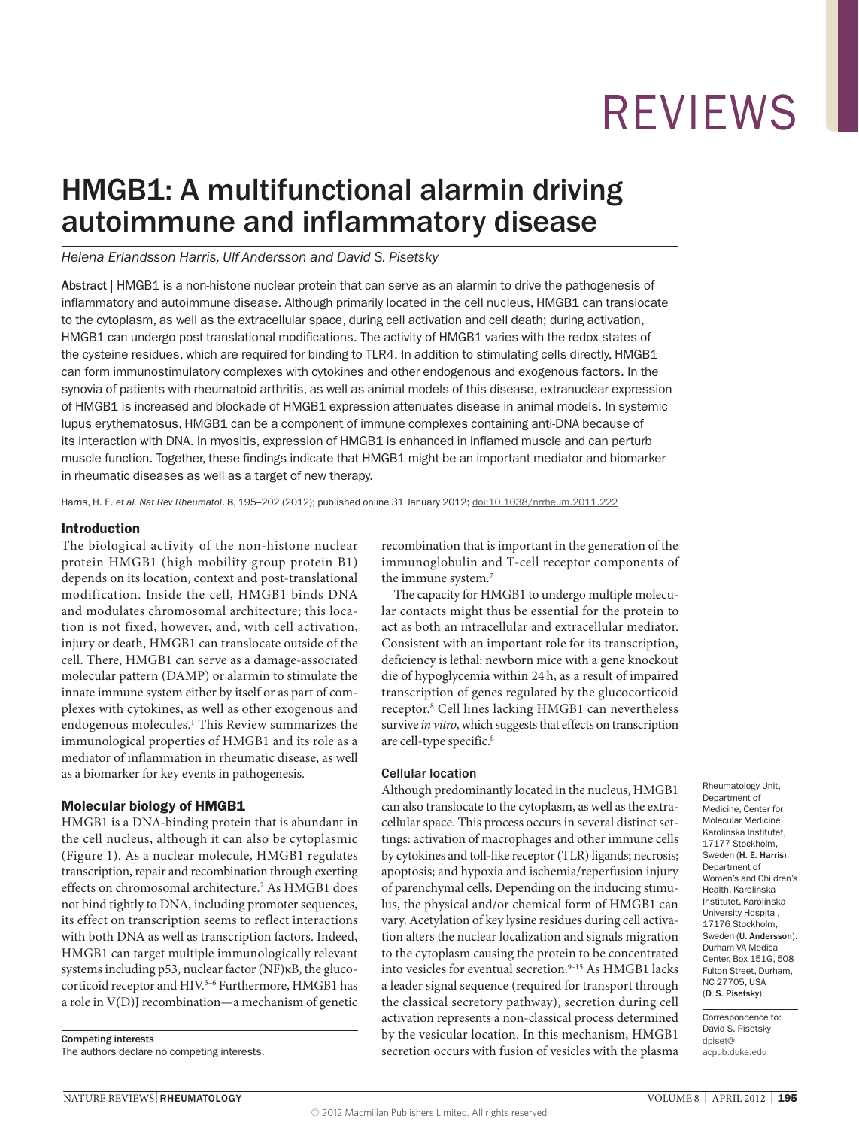## HMGB1: A multifunctional alarmin driving autoimmune and inflammatory disease

#### *Helena Erlandsson Harris, Ulf Andersson and David S. Pisetsky*

Abstract | HMGB1 is a non-histone nuclear protein that can serve as an alarmin to drive the pathogenesis of inflammatory and autoimmune disease. Although primarily located in the cell nucleus, HMGB1 can translocate to the cytoplasm, as well as the extracellular space, during cell activation and cell death; during activation, HMGB1 can undergo post-translational modifications. The activity of HMGB1 varies with the redox states of the cysteine residues, which are required for binding to TLR4. In addition to stimulating cells directly, HMGB1 can form immunostimulatory complexes with cytokines and other endogenous and exogenous factors. In the synovia of patients with rheumatoid arthritis, as well as animal models of this disease, extranuclear expression of HMGB1 is increased and blockade of HMGB1 expression attenuates disease in animal models. In systemic lupus erythematosus, HMGB1 can be a component of immune complexes containing anti-DNA because of its interaction with DNA. In myositis, expression of HMGB1 is enhanced in inflamed muscle and can perturb muscle function. Together, these findings indicate that HMGB1 might be an important mediator and biomarker in rheumatic diseases as well as a target of new therapy.

Harris, H. E. *et al. Nat Rev Rheumatol*. 8, 195–202 (2012); published online 31 January 2012; [doi:10.1038/nrrheum.2011.222](http://www.nature.com/doifinder/10.1038/nrrheum.2011.222)

#### Introduction

The biological activity of the non-histone nuclear protein HMGB1 (high mobility group protein B1) depends on its location, context and post-translational modification. Inside the cell, HMGB1 binds DNA and modulates chromosomal architecture; this location is not fixed, however, and, with cell activation, injury or death, HMGB1 can translocate outside of the cell. There, HMGB1 can serve as a damage-associated molecular pattern (DAMP) or alarmin to stimulate the innate immune system either by itself or as part of complexes with cytokines, as well as other exogenous and endogenous molecules.<sup>1</sup> This Review summarizes the immunological properties of HMGB1 and its role as a mediator of inflammation in rheumatic disease, as well as a biomarker for key events in pathogenesis.

#### Molecular biology of HMGB1

HMGB1 is a DNA-binding protein that is abundant in the cell nucleus, although it can also be cytoplasmic (Figure 1). As a nuclear molecule, HMGB1 regulates transcription, repair and recombination through exerting effects on chromosomal architecture.<sup>2</sup> As HMGB1 does not bind tightly to DNA, including promoter sequences, its effect on transcription seems to reflect interactions with both DNA as well as transcription factors. Indeed, HMGB1 can target multiple immunologically relevant systems including p53, nuclear factor (NF)κB, the glucocorticoid receptor and HIV.<sup>3-6</sup> Furthermore, HMGB1 has a role in V(D)J recombination—a mechanism of genetic

Competing interests The authors declare no competing interests. recombination that is important in the generation of the immunoglobulin and T-cell receptor components of the immune system.7

The capacity for HMGB1 to undergo multiple molecular contacts might thus be essential for the protein to act as both an intracellular and extracellular mediator. Consistent with an important role for its transcription, deficiency is lethal: newborn mice with a gene knockout die of hypoglycemia within 24 h, as a result of impaired transcription of genes regulated by the glucocorticoid receptor.8 Cell lines lacking HMGB1 can nevertheless survive *in vitro*, which suggests that effects on transcription are cell-type specific.<sup>8</sup>

#### Cellular location

Although predominantly located in the nucleus, HMGB1 can also translocate to the cytoplasm, as well as the extracellular space. This process occurs in several distinct settings: activation of macrophages and other immune cells by cytokines and toll-like receptor (TLR) ligands; necrosis; apoptosis; and hypoxia and ischemia/reperfusion injury of parenchymal cells. Depending on the inducing stimulus, the physical and/or chemical form of HMGB1 can vary. Acetylation of key lysine residues during cell activation alters the nuclear localization and signals migration to the cytoplasm causing the protein to be concentrated into vesicles for eventual secretion.<sup>9-15</sup> As HMGB1 lacks a leader signal sequence (required for transport through the classical secretory pathway), secretion during cell activation represents a non-classical process determined by the vesicular location. In this mechanism, HMGB1 secretion occurs with fusion of vesicles with the plasma

Rheumatology Unit, Department of Medicine, Center for Molecular Medicine, Karolinska Institutet, 17177 Stockholm, Sweden (H. E. Harris). Department of Women's and Children's Health, Karolinska Institutet, Karolinska University Hospital, 17176 Stockholm, Sweden (U. Andersson). Durham VA Medical Center, Box 151G, 508 Fulton Street, Durham, NC 27705, USA (D. S. Pisetsky).

Correspondence to: David S. Pisetsky [dpiset@](mailto:dpiset%40acpub.duke.edu?subject=) [acpub.duke.edu](mailto:dpiset%40acpub.duke.edu?subject=)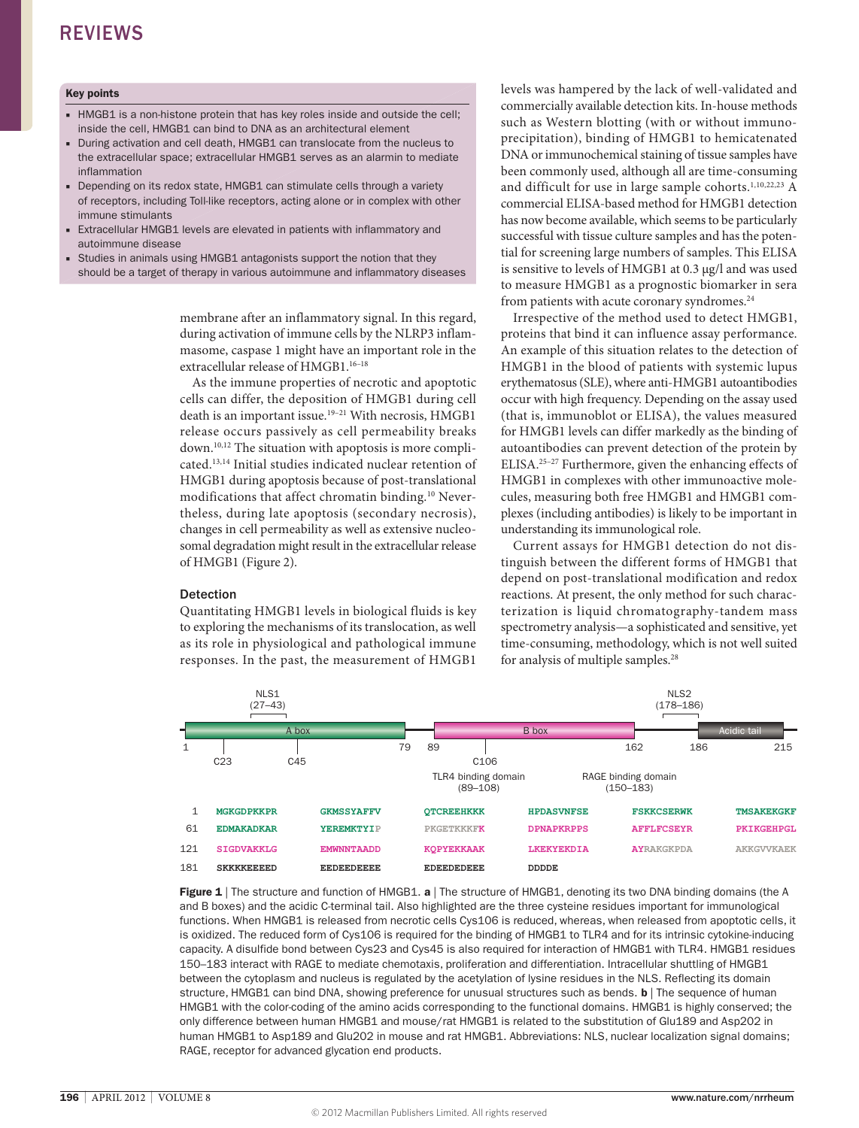#### Key points

- HMGB1 is a non-histone protein that has key roles inside and outside the cell; inside the cell, HMGB1 can bind to DNA as an architectural element
- During activation and cell death, HMGB1 can translocate from the nucleus to the extracellular space; extracellular HMGB1 serves as an alarmin to mediate inflammation
- Depending on its redox state, HMGB1 can stimulate cells through a variety of receptors, including Toll-like receptors, acting alone or in complex with other immune stimulants
- Extracellular HMGB1 levels are elevated in patients with inflammatory and autoimmune disease
- Studies in animals using HMGB1 antagonists support the notion that they should be a target of therapy in various autoimmune and inflammatory diseases

membrane after an inflammatory signal. In this regard, during activation of immune cells by the NLRP3 inflammasome, caspase 1 might have an important role in the extracellular release of HMGB1.16–18

As the immune properties of necrotic and apoptotic cells can differ, the deposition of HMGB1 during cell death is an important issue.<sup>19-21</sup> With necrosis, HMGB1 release occurs passively as cell permeability breaks down.10,12 The situation with apoptosis is more complicated.13,14 Initial studies indicated nuclear retention of HMGB1 during apoptosis because of post-translational modifications that affect chromatin binding.<sup>10</sup> Nevertheless, during late apoptosis (secondary necrosis), changes in cell permeability as well as extensive nucleosomal degradation might result in the extracellular release of HMGB1 (Figure 2).

#### Detection

Quantitating HMGB1 levels in biological fluids is key to exploring the mechanisms of its translocation, as well as its role in physiological and pathological immune responses. In the past, the measurement of HMGB1

levels was hampered by the lack of well-validated and commercially available detection kits. In-house methods such as Western blotting (with or without immunoprecipitation), binding of HMGB1 to hemicatenated DNA or immunochemical staining of tissue samples have been commonly used, although all are time-consuming and difficult for use in large sample cohorts.<sup>1,10,22,23</sup> A commercial ELISA-based method for HMGB1 detection has now become available, which seems to be particularly successful with tissue culture samples and has the potential for screening large numbers of samples. This ELISA is sensitive to levels of HMGB1 at 0.3 μg/l and was used to measure HMGB1 as a prognostic biomarker in sera from patients with acute coronary syndromes.<sup>24</sup>

Irrespective of the method used to detect HMGB1, proteins that bind it can influence assay performance. An example of this situation relates to the detection of HMGB1 in the blood of patients with systemic lupus erythematosus (SLE), where anti-HMGB1 autoantibodies occur with high frequency. Depending on the assay used (that is, immunoblot or ELISA), the values measured for HMGB1 levels can differ markedly as the binding of autoantibodies can prevent detection of the protein by ELISA.25–27 Furthermore, given the enhancing effects of HMGB1 in complexes with other immunoactive molecules, measuring both free HMGB1 and HMGB1 complexes (including antibodies) is likely to be important in understanding its immunological role.

Current assays for HMGB1 detection do not distinguish between the different forms of HMGB1 that depend on post-translational modification and redox reactions. At present, the only method for such characterization is liquid chromatography-tandem mass spectrometry analysis—a sophisticated and sensitive, yet time-consuming, methodology, which is not well suited for analysis of multiple samples.28



**Figure 1** | The structure and function of HMGB1, a | The structure of HMGB1, denoting its two DNA binding domains (the A and B boxes) and the acidic C-terminal tail. Also highlighted are the three cysteine residues important for immunological functions. When HMGB1 is released from necrotic cells Cys106 is reduced, whereas, when released from apoptotic cells, it is oxidized. The reduced form of Cys106 is required for the binding of HMGB1 to TLR4 and for its intrinsic cytokine-inducing capacity. A disulfide bond between Cys23 and Cys45 is also required for interaction of HMGB1 with TLR4. HMGB1 residues 150–183 interact with RAGE to mediate chemotaxis, proliferation and differentiation. Intracellular shuttling of HMGB1 between the cytoplasm and nucleus is regulated by the acetylation of lysine residues in the NLS. Reflecting its domain structure, HMGB1 can bind DNA, showing preference for unusual structures such as bends. **b** The sequence of human HMGB1 with the color-coding of the amino acids corresponding to the functional domains. HMGB1 is highly conserved; the only difference between human HMGB1 and mouse/rat HMGB1 is related to the substitution of Glu189 and Asp202 in human HMGB1 to Asp189 and Glu202 in mouse and rat HMGB1. Abbreviations: NLS, nuclear localization signal domains; RAGE, receptor for advanced glycation end products.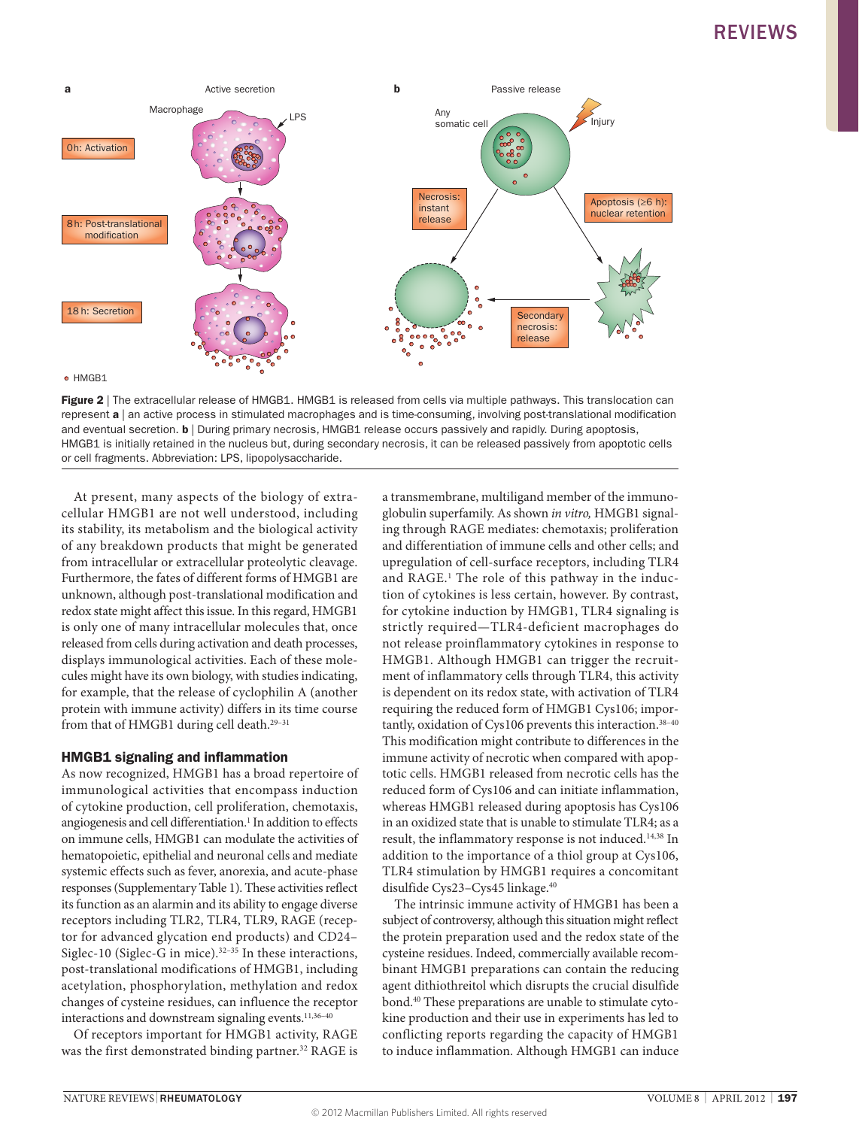

Figure 2 | The extracellular release of HMGB1. HMGB1 is released from cells via multiple pathways. This translocation can represent a | an active process in stimulated macrophages and is time-consuming, involving post-translational modification and eventual secretion. **b** | During primary necrosis, HMGB1 release occurs passively and rapidly. During apoptosis, HMGB1 is initially retained in the nucleus but, during secondary necrosis, it can be released passively from apoptotic cells or cell fragments. Abbreviation: LPS, lipopolysaccharide.

At present, many aspects of the biology of extracellular HMGB1 are not well understood, including its stability, its metabolism and the biological activity of any breakdown products that might be generated from intracellular or extracellular proteolytic cleavage. Furthermore, the fates of different forms of HMGB1 are unknown, although post-translational modification and redox state might affect this issue. In this regard, HMGB1 is only one of many intracellular molecules that, once released from cells during activation and death processes, displays immunological activities. Each of these molecules might have its own biology, with studies indicating, for example, that the release of cyclophilin A (another protein with immune activity) differs in its time course from that of HMGB1 during cell death.<sup>29-31</sup>

#### HMGB1 signaling and inflammation

As now recognized, HMGB1 has a broad repertoire of immunological activities that encompass induction of cytokine production, cell proliferation, chemotaxis, angiogenesis and cell differentiation.<sup>1</sup> In addition to effects on immune cells, HMGB1 can modulate the activities of hematopoietic, epithelial and neuronal cells and mediate systemic effects such as fever, anorexia, and acute-phase responses (Supplementary Table 1). These activities reflect its function as an alarmin and its ability to engage diverse receptors including TLR2, TLR4, TLR9, RAGE (receptor for advanced glycation end products) and CD24– Siglec-10 (Siglec-G in mice). $32-35$  In these interactions, post-translational modifications of HMGB1, including acetylation, phosphorylation, methylation and redox changes of cysteine residues, can influence the receptor interactions and downstream signaling events.<sup>11,36-40</sup>

Of receptors important for HMGB1 activity, RAGE was the first demonstrated binding partner.<sup>32</sup> RAGE is

a transmembrane, multiligand member of the immunoglobulin superfamily. As shown *in vitro,* HMGB1 signaling through RAGE mediates: chemotaxis; proliferation and differentiation of immune cells and other cells; and upregulation of cell-surface receptors, including TLR4 and RAGE.1 The role of this pathway in the induction of cytokines is less certain, however. By contrast, for cytokine induction by HMGB1, TLR4 signaling is strictly required—TLR4-deficient macrophages do not release proinflammatory cytokines in response to HMGB1. Although HMGB1 can trigger the recruitment of inflammatory cells through TLR4, this activity is dependent on its redox state, with activation of TLR4 requiring the reduced form of HMGB1 Cys106; importantly, oxidation of Cys106 prevents this interaction.<sup>38-40</sup> This modification might contribute to differences in the immune activity of necrotic when compared with apoptotic cells. HMGB1 released from necrotic cells has the reduced form of Cys106 and can initiate inflammation, whereas HMGB1 released during apoptosis has Cys106 in an oxidized state that is unable to stimulate TLR4; as a result, the inflammatory response is not induced.14,38 In addition to the importance of a thiol group at Cys106, TLR4 stimulation by HMGB1 requires a concomitant disulfide Cys23–Cys45 linkage.40

The intrinsic immune activity of HMGB1 has been a subject of controversy, although this situation might reflect the protein preparation used and the redox state of the cysteine residues. Indeed, commercially available recombinant HMGB1 preparations can contain the reducing agent dithiothreitol which disrupts the crucial disulfide bond.40 These preparations are unable to stimulate cytokine production and their use in experiments has led to conflicting reports regarding the capacity of HMGB1 to induce inflammation. Although HMGB1 can induce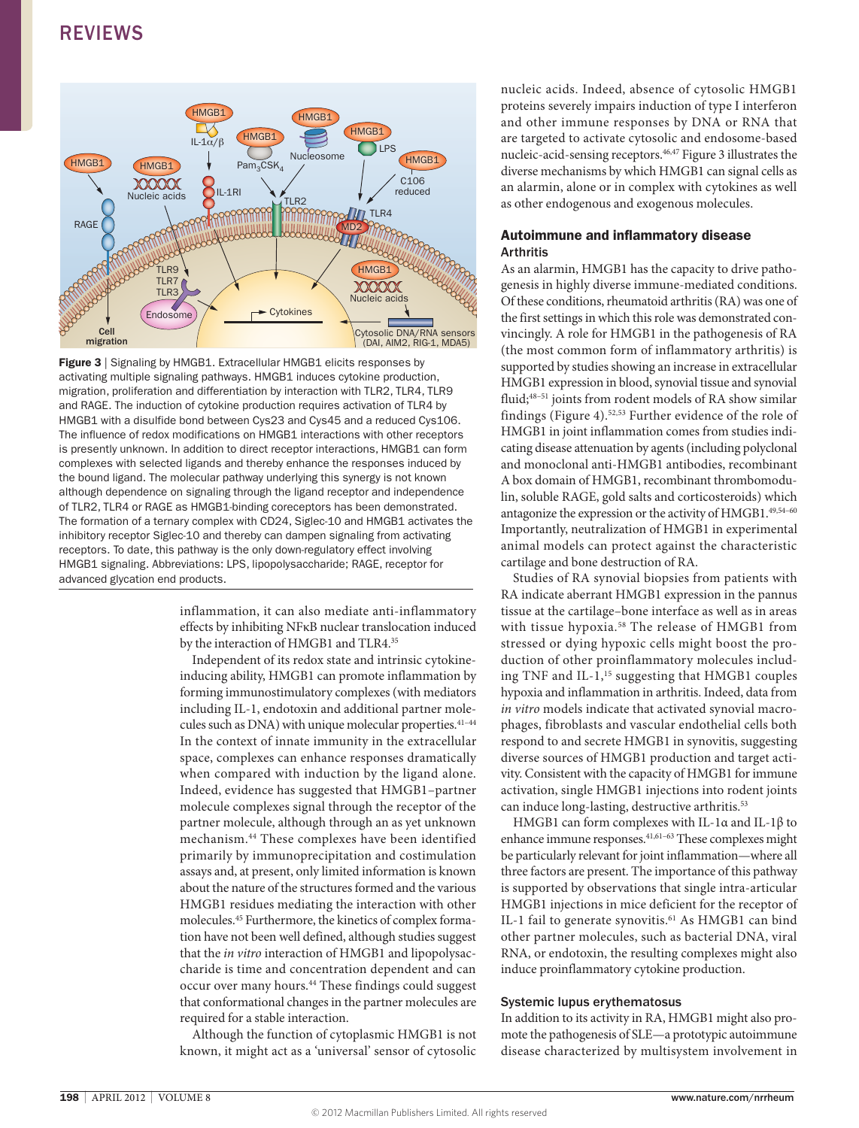

Figure 3 | Signaling by HMGB1. Extracellular HMGB1 elicits responses by activating multiple signaling pathways. HMGB1 induces cytokine production, migration, proliferation and differentiation by interaction with TLR2, TLR4, TLR9 and RAGE. The induction of cytokine production requires activation of TLR4 by HMGB1 with a disulfide bond between Cys23 and Cys45 and a reduced Cys106. The influence of redox modifications on HMGB1 interactions with other receptors is presently unknown. In addition to direct receptor interactions, HMGB1 can form complexes with selected ligands and thereby enhance the responses induced by the bound ligand. The molecular pathway underlying this synergy is not known although dependence on signaling through the ligand receptor and independence of TLR2, TLR4 or RAGE as HMGB1-binding coreceptors has been demonstrated. The formation of a ternary complex with CD24, Siglec-10 and HMGB1 activates the inhibitory receptor Siglec-10 and thereby can dampen signaling from activating receptors. To date, this pathway is the only down-regulatory effect involving HMGB1 signaling. Abbreviations: LPS, lipopolysaccharide; RAGE, receptor for advanced glycation end products.

inflammation, it can also mediate anti-inflammatory effects by inhibiting NFκB nuclear translocation induced by the interaction of HMGB1 and TLR4.<sup>35</sup>

Independent of its redox state and intrinsic cytokineinducing ability, HMGB1 can promote inflammation by forming immunostimulatory complexes (with mediators including IL-1, endotoxin and additional partner molecules such as DNA) with unique molecular properties.<sup>41-44</sup> In the context of innate immunity in the extracellular space, complexes can enhance responses dramatically when compared with induction by the ligand alone. Indeed, evidence has suggested that HMGB1–partner molecule complexes signal through the receptor of the partner molecule, although through an as yet unknown mechanism.44 These complexes have been identified primarily by immunoprecipitation and costimulation assays and, at present, only limited information is known about the nature of the structures formed and the various HMGB1 residues mediating the interaction with other molecules.45 Furthermore, the kinetics of complex formation have not been well defined, although studies suggest that the *in vitro* interaction of HMGB1 and lipopolysaccharide is time and concentration dependent and can occur over many hours.<sup>44</sup> These findings could suggest that conformational changes in the partner molecules are required for a stable interaction.

Although the function of cytoplasmic HMGB1 is not known, it might act as a 'universal' sensor of cytosolic nucleic acids. Indeed, absence of cytosolic HMGB1 proteins severely impairs induction of type I interferon and other immune responses by DNA or RNA that are targeted to activate cytosolic and endosome-based nucleic-acid-sensing receptors.46,47 Figure 3 illustrates the diverse mechanisms by which HMGB1 can signal cells as an alarmin, alone or in complex with cytokines as well as other endogenous and exogenous molecules.

#### Autoimmune and inflammatory disease Arthritis

As an alarmin, HMGB1 has the capacity to drive pathogenesis in highly diverse immune-mediated conditions. Of these conditions, rheumatoid arthritis (RA) was one of the first settings in which this role was demonstrated convincingly. A role for HMGB1 in the pathogenesis of RA (the most common form of inflammatory arthritis) is supported by studies showing an increase in extracellular HMGB1 expression in blood, synovial tissue and synovial fluid;48–51 joints from rodent models of RA show similar findings (Figure 4).52,53 Further evidence of the role of HMGB1 in joint inflammation comes from studies indicating disease attenuation by agents (including polyclonal and monoclonal anti-HMGB1 antibodies, recombinant A box domain of HMGB1, recombinant thrombomodulin, soluble RAGE, gold salts and corticosteroids) which antagonize the expression or the activity of HMGB1.<sup>49,54-60</sup> Importantly, neutralization of HMGB1 in experimental animal models can protect against the characteristic cartilage and bone destruction of RA.

Studies of RA synovial biopsies from patients with RA indicate aberrant HMGB1 expression in the pannus tissue at the cartilage–bone interface as well as in areas with tissue hypoxia.<sup>58</sup> The release of HMGB1 from stressed or dying hypoxic cells might boost the production of other proinflammatory molecules including TNF and IL-1,<sup>15</sup> suggesting that HMGB1 couples hypoxia and inflammation in arthritis. Indeed, data from *in vitro* models indicate that activated synovial macrophages, fibroblasts and vascular endothelial cells both respond to and secrete HMGB1 in synovitis, suggesting diverse sources of HMGB1 production and target activity. Consistent with the capacity of HMGB1 for immune activation, single HMGB1 injections into rodent joints can induce long-lasting, destructive arthritis.<sup>53</sup>

HMGB1 can form complexes with IL-1α and IL-1β to enhance immune responses.<sup>41,61-63</sup> These complexes might be particularly relevant for joint inflammation—where all three factors are present. The importance of this pathway is supported by observations that single intra-articular HMGB1 injections in mice deficient for the receptor of IL-1 fail to generate synovitis.<sup>61</sup> As HMGB1 can bind other partner molecules, such as bacterial DNA, viral RNA, or endotoxin, the resulting complexes might also induce proinflammatory cytokine production.

#### Systemic lupus erythematosus

In addition to its activity in RA, HMGB1 might also promote the pathogenesis of SLE—a prototypic autoimmune disease characterized by multisystem involvement in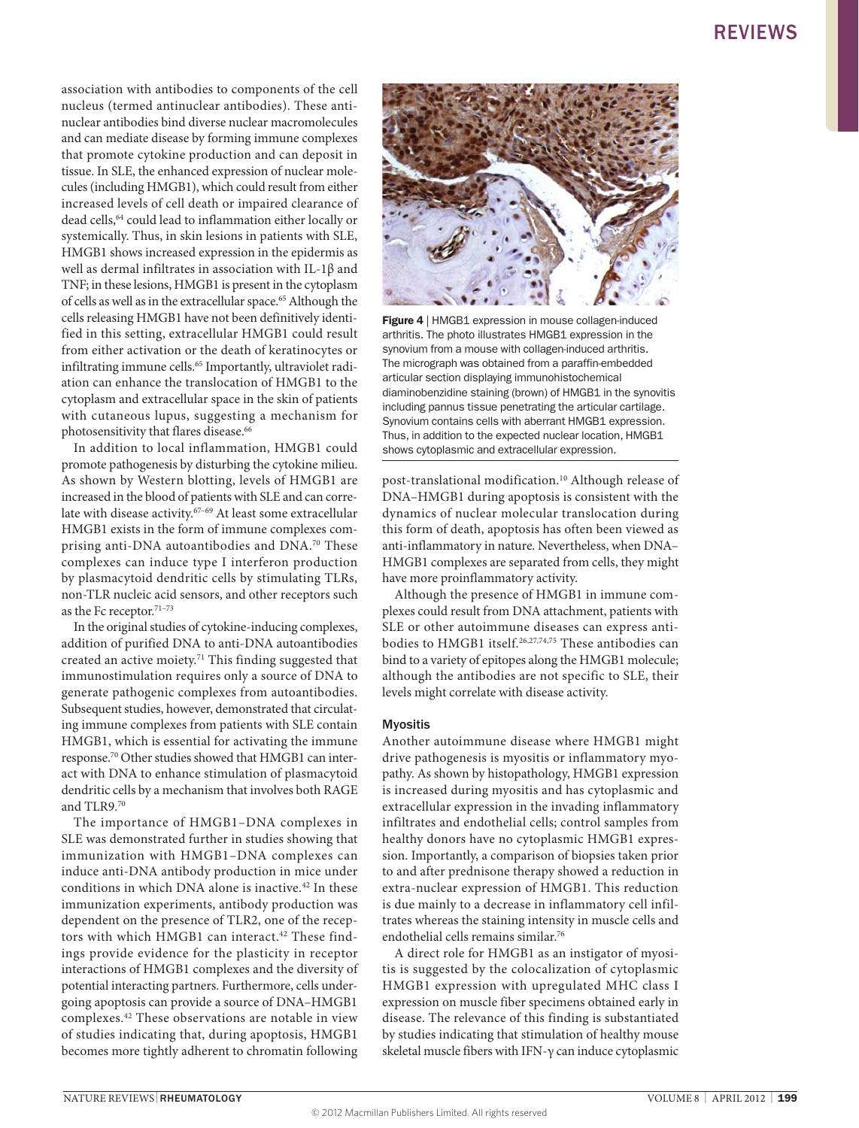association with antibodies to components of the cell nucleus (termed antinuclear antibodies). These antinuclear antibodies bind diverse nuclear macromolecules and can mediate disease by forming immune complexes that promote cytokine production and can deposit in tissue. In SLE, the enhanced expression of nuclear molecules (including HMGB1), which could result from either increased levels of cell death or impaired clearance of dead cells,64 could lead to inflammation either locally or systemically. Thus, in skin lesions in patients with SLE, HMGB1 shows increased expression in the epidermis as well as dermal infiltrates in association with IL-1β and TNF; in these lesions, HMGB1 is present in the cytoplasm of cells as well as in the extracellular space.<sup>65</sup> Although the cells releasing HMGB1 have not been definitively identified in this setting, extracellular HMGB1 could result from either activation or the death of keratinocytes or infiltrating immune cells.<sup>65</sup> Importantly, ultraviolet radiation can enhance the translocation of HMGB1 to the cytoplasm and extracellular space in the skin of patients with cutaneous lupus, suggesting a mechanism for photosensitivity that flares disease.<sup>66</sup>

In addition to local inflammation, HMGB1 could promote pathogenesis by disturbing the cytokine milieu. As shown by Western blotting, levels of HMGB1 are increased in the blood of patients with SLE and can correlate with disease activity.<sup>67-69</sup> At least some extracellular HMGB1 exists in the form of immune complexes comprising anti-DNA autoantibodies and DNA.70 These complexes can induce type I interferon production by plasmacytoid dendritic cells by stimulating TLRs, non-TLR nucleic acid sensors, and other receptors such as the Fc receptor.<sup>71-73</sup>

In the original studies of cytokine-inducing complexes, addition of purified DNA to anti-DNA autoantibodies created an active moiety.71 This finding suggested that immunostimulation requires only a source of DNA to generate pathogenic complexes from autoantibodies. Subsequent studies, however, demonstrated that circulating immune complexes from patients with SLE contain HMGB1, which is essential for activating the immune response.70 Other studies showed that HMGB1 can interact with DNA to enhance stimulation of plasmacytoid dendritic cells by a mechanism that involves both RAGE and TLR9.70

The importance of HMGB1–DNA complexes in SLE was demonstrated further in studies showing that immunization with HMGB1–DNA complexes can induce anti-DNA antibody production in mice under conditions in which DNA alone is inactive.<sup>42</sup> In these immunization experiments, antibody production was dependent on the presence of TLR2, one of the receptors with which HMGB1 can interact.<sup>42</sup> These findings provide evidence for the plasticity in receptor interactions of HMGB1 complexes and the diversity of potential interacting partners. Furthermore, cells undergoing apoptosis can provide a source of DNA–HMGB1 complexes.42 These observations are notable in view of studies indicating that, during apoptosis, HMGB1 becomes more tightly adherent to chromatin following



Figure 4 | HMGB1 expression in mouse collagen-induced arthritis. The photo illustrates HMGB1 expression in the synovium from a mouse with collagen-induced arthritis. The micrograph was obtained from a paraffin-embedded articular section displaying immunohistochemical diaminobenzidine staining (brown) of HMGB1 in the synovitis including pannus tissue penetrating the articular cartilage. Synovium contains cells with aberrant HMGB1 expression. Thus, in addition to the expected nuclear location, HMGB1 shows cytoplasmic and extracellular expression.

post-translational modification.<sup>10</sup> Although release of DNA–HMGB1 during apoptosis is consistent with the dynamics of nuclear molecular translocation during this form of death, apoptosis has often been viewed as anti-inflammatory in nature. Nevertheless, when DNA– HMGB1 complexes are separated from cells, they might have more proinflammatory activity.

Although the presence of HMGB1 in immune complexes could result from DNA attachment, patients with SLE or other autoimmune diseases can express antibodies to HMGB1 itself.26,27,74,75 These antibodies can bind to a variety of epitopes along the HMGB1 molecule; although the antibodies are not specific to SLE, their levels might correlate with disease activity.

#### Myositis

Another autoimmune disease where HMGB1 might drive pathogenesis is myositis or inflammatory myopathy. As shown by histopathology, HMGB1 expression is increased during myositis and has cytoplasmic and extracellular expression in the invading inflammatory infiltrates and endothelial cells; control samples from healthy donors have no cytoplasmic HMGB1 expression. Importantly, a comparison of biopsies taken prior to and after prednisone therapy showed a reduction in extra-nuclear expression of HMGB1. This reduction is due mainly to a decrease in inflammatory cell infiltrates whereas the staining intensity in muscle cells and endothelial cells remains similar.76

A direct role for HMGB1 as an instigator of myositis is suggested by the colocalization of cytoplasmic HMGB1 expression with upregulated MHC class I expression on muscle fiber specimens obtained early in disease. The relevance of this finding is substantiated by studies indicating that stimulation of healthy mouse skeletal muscle fibers with IFN-γ can induce cytoplasmic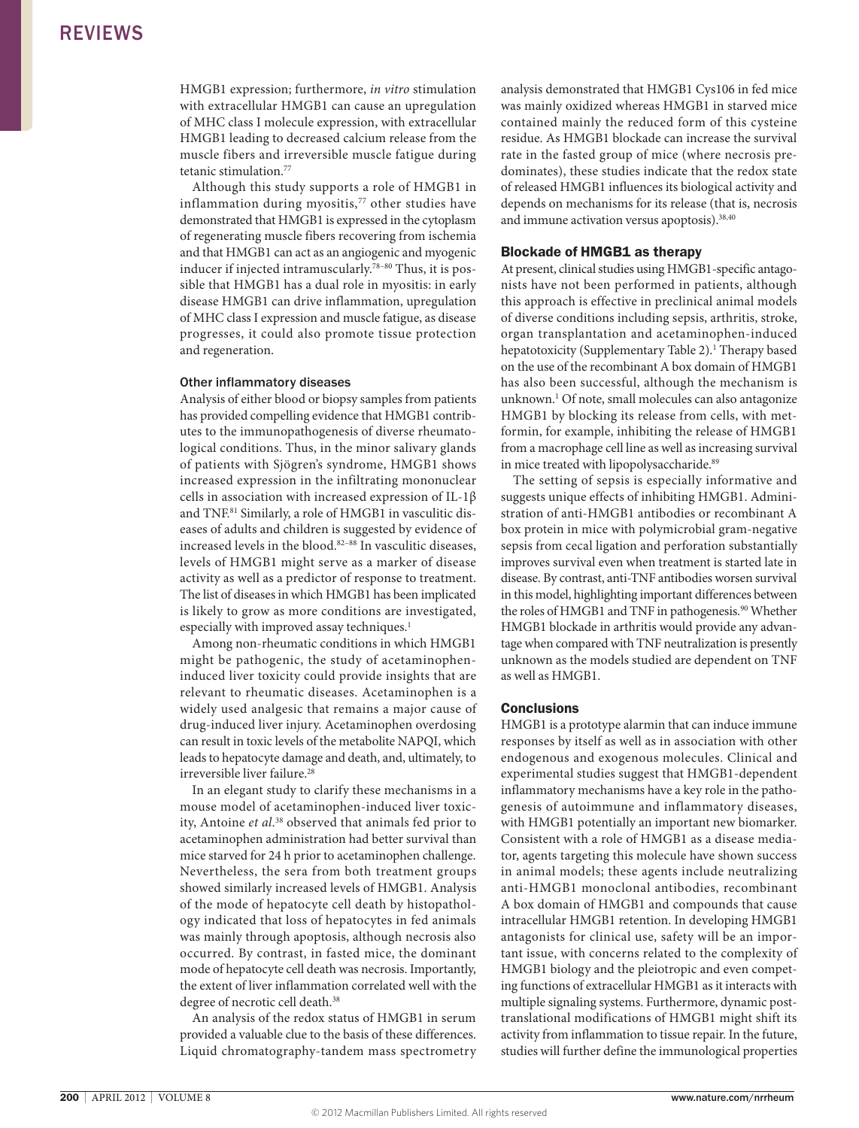HMGB1 expression; furthermore, *in vitro* stimulation with extracellular HMGB1 can cause an upregulation of MHC class I molecule expression, with extracellular HMGB1 leading to decreased calcium release from the muscle fibers and irreversible muscle fatigue during tetanic stimulation.<sup>77</sup>

Although this study supports a role of HMGB1 in inflammation during myositis,<sup>77</sup> other studies have demonstrated that HMGB1 is expressed in the cytoplasm of regenerating muscle fibers recovering from ischemia and that HMGB1 can act as an angiogenic and myogenic inducer if injected intramuscularly.78–80 Thus, it is possible that HMGB1 has a dual role in myositis: in early disease HMGB1 can drive inflammation, upregulation of MHC class I expression and muscle fatigue, as disease progresses, it could also promote tissue protection and regeneration.

#### Other inflammatory diseases

Analysis of either blood or biopsy samples from patients has provided compelling evidence that HMGB1 contributes to the immunopathogenesis of diverse rheumatological conditions. Thus, in the minor salivary glands of patients with Sjögren's syndrome, HMGB1 shows increased expression in the infiltrating mononuclear cells in association with increased expression of IL-1β and TNF.81 Similarly, a role of HMGB1 in vasculitic diseases of adults and children is suggested by evidence of increased levels in the blood.82–88 In vasculitic diseases, levels of HMGB1 might serve as a marker of disease activity as well as a predictor of response to treatment. The list of diseases in which HMGB1 has been implicated is likely to grow as more conditions are investigated, especially with improved assay techniques.<sup>1</sup>

Among non-rheumatic conditions in which HMGB1 might be pathogenic, the study of acetaminopheninduced liver toxicity could provide insights that are relevant to rheumatic diseases. Acetaminophen is a widely used analgesic that remains a major cause of drug-induced liver injury. Acetaminophen overdosing can result in toxic levels of the metabolite NAPQI, which leads to hepatocyte damage and death, and, ultimately, to irreversible liver failure.<sup>28</sup>

In an elegant study to clarify these mechanisms in a mouse model of acetaminophen-induced liver toxicity, Antoine *et al*. 38 observed that animals fed prior to acetaminophen administration had better survival than mice starved for 24 h prior to acetaminophen challenge. Nevertheless, the sera from both treatment groups showed similarly increased levels of HMGB1. Analysis of the mode of hepatocyte cell death by histopathology indicated that loss of hepatocytes in fed animals was mainly through apoptosis, although necrosis also occurred. By contrast, in fasted mice, the dominant mode of hepatocyte cell death was necrosis. Importantly, the extent of liver inflammation correlated well with the degree of necrotic cell death.38

An analysis of the redox status of HMGB1 in serum provided a valuable clue to the basis of these differences. Liquid chromatography-tandem mass spectrometry analysis demonstrated that HMGB1 Cys106 in fed mice was mainly oxidized whereas HMGB1 in starved mice contained mainly the reduced form of this cysteine residue. As HMGB1 blockade can increase the survival rate in the fasted group of mice (where necrosis predominates), these studies indicate that the redox state of released HMGB1 influences its biological activity and depends on mechanisms for its release (that is, necrosis and immune activation versus apoptosis).<sup>38,40</sup>

#### Blockade of HMGB1 as therapy

At present, clinical studies using HMGB1-specific antagonists have not been performed in patients, although this approach is effective in preclinical animal models of diverse conditions including sepsis, arthritis, stroke, organ transplantation and acetaminophen-induced hepatotoxicity (Supplementary Table 2).<sup>1</sup> Therapy based on the use of the recombinant A box domain of HMGB1 has also been successful, although the mechanism is unknown.<sup>1</sup> Of note, small molecules can also antagonize HMGB1 by blocking its release from cells, with metformin, for example, inhibiting the release of HMGB1 from a macrophage cell line as well as increasing survival in mice treated with lipopolysaccharide.<sup>89</sup>

The setting of sepsis is especially informative and suggests unique effects of inhibiting HMGB1. Administration of anti-HMGB1 antibodies or recombinant A box protein in mice with polymicrobial gram-negative sepsis from cecal ligation and perforation substantially improves survival even when treatment is started late in disease. By contrast, anti-TNF antibodies worsen survival in this model, highlighting important differences between the roles of HMGB1 and TNF in pathogenesis.<sup>90</sup> Whether HMGB1 blockade in arthritis would provide any advantage when compared with TNF neutralization is presently unknown as the models studied are dependent on TNF as well as HMGB1.

#### **Conclusions**

HMGB1 is a prototype alarmin that can induce immune responses by itself as well as in association with other endogenous and exogenous molecules. Clinical and experimental studies suggest that HMGB1-dependent inflammatory mechanisms have a key role in the pathogenesis of autoimmune and inflammatory diseases, with HMGB1 potentially an important new biomarker. Consistent with a role of HMGB1 as a disease mediator, agents targeting this molecule have shown success in animal models; these agents include neutralizing anti-HMGB1 monoclonal antibodies, recombinant A box domain of HMGB1 and compounds that cause intracellular HMGB1 retention. In developing HMGB1 antagonists for clinical use, safety will be an important issue, with concerns related to the complexity of HMGB1 biology and the pleiotropic and even competing functions of extracellular HMGB1 as it interacts with multiple signaling systems. Furthermore, dynamic posttranslational modifications of HMGB1 might shift its activity from inflammation to tissue repair. In the future, studies will further define the immunological properties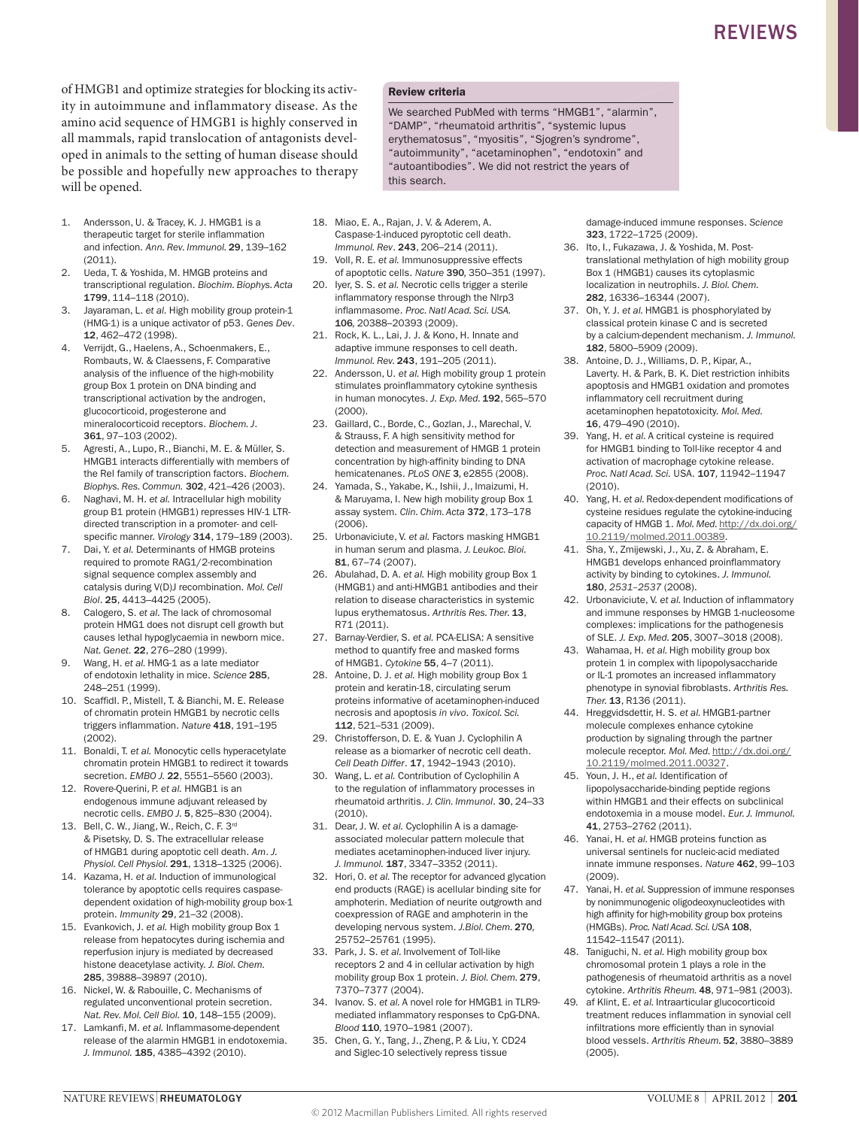of HMGB1 and optimize strategies for blocking its activity in autoimmune and inflammatory disease. As the amino acid sequence of HMGB1 is highly conserved in all mammals, rapid translocation of antagonists developed in animals to the setting of human disease should be possible and hopefully new approaches to therapy will be opened.

- 1. Andersson, U. & Tracey, K. J. HMGB1 is a therapeutic target for sterile inflammation and infection. *Ann. Rev. Immunol.* 29, 139–162 (2011).
- 2. Ueda, T. & Yoshida, M. HMGB proteins and transcriptional regulation. *Biochim. Biophys. Acta* 1799, 114–118 (2010).
- 3. Jayaraman, L. *et al.* High mobility group protein-1 (HMG-1) is a unique activator of p53. *Genes Dev*. 12, 462–472 (1998).
- 4. Verrijdt, G., Haelens, A., Schoenmakers, E., Rombauts, W. & Claessens, F. Comparative analysis of the influence of the high-mobility group Box 1 protein on DNA binding and transcriptional activation by the androgen, glucocorticoid, progesterone and mineralocorticoid receptors. *Biochem. J*. 361, 97–103 (2002).
- 5. Agresti, A., Lupo, R., Bianchi, M. E. & Müller, S. HMGB1 interacts differentially with members of the Rel family of transcription factors. *Biochem. Biophys. Res. Commun.* 302, 421–426 (2003).
- 6. Naghavi, M. H. *et al.* Intracellular high mobility group B1 protein (HMGB1) represses HIV-1 LTRdirected transcription in a promoter- and cellspecific manner. *Virology* 314, 179–189 (2003).
- 7. Dai, Y. *et al.* Determinants of HMGB proteins required to promote RAG1/2-recombination signal sequence complex assembly and catalysis during V(D)J recombination. *Mol. Cell Biol*. 25, 4413–4425 (2005).
- Calogero, S. et al. The lack of chromosomal protein HMG1 does not disrupt cell growth but causes lethal hypoglycaemia in newborn mice. *Nat. Genet.* 22, 276–280 (1999).
- 9. Wang, H. *et al.* HMG-1 as a late mediator of endotoxin lethality in mice. *Science* 285, 248–251 (1999).
- 10. ScaffidI. P., Mistell, T. & Bianchi, M. E. Release of chromatin protein HMGB1 by necrotic cells triggers inflammation. *Nature* 418, 191–195 (2002).
- 11. Bonaldi, T. *et al.* Monocytic cells hyperacetylate chromatin protein HMGB1 to redirect it towards secretion. *EMBO J.* 22, 5551–5560 (2003).
- 12. Rovere-Querini, P. et al. HMGB1 is an endogenous immune adjuvant released by necrotic cells. *EMBO J.* 5, 825–830 (2004).
- 13. Bell, C. W., Jiang, W., Reich, C. F. 3rd & Pisetsky, D. S. The extracellular release of HMGB1 during apoptotic cell death. *Am*. *J. Physiol. Cell Physiol.* 291, 1318–1325 (2006).
- 14. Kazama, H. *et al.* Induction of immunological tolerance by apoptotic cells requires caspasedependent oxidation of high-mobility group box-1 protein. *Immunity* 29, 21–32 (2008).
- 15. Evankovich, J. *et al.* High mobility group Box 1 release from hepatocytes during ischemia and reperfusion injury is mediated by decreased histone deacetylase activity. *J. Biol. Chem.*  285, 39888–39897 (2010).
- 16. Nickel, W. & Rabouille, C. Mechanisms of regulated unconventional protein secretion. *Nat. Rev. Mol. Cell Biol.* **10**, 148-155 (2009).
- 17. Lamkanfi, M. *et al.* Inflammasome-dependent release of the alarmin HMGB1 in endotoxemia. *J. Immunol.* 185, 4385–4392 (2010).

#### Review criteria

We searched PubMed with terms "HMGB1", "alarmin", "DAMP", "rheumatoid arthritis", "systemic lupus erythematosus", "myositis", "Sjogren's syndrome", "autoimmunity", "acetaminophen", "endotoxin" and "autoantibodies". We did not restrict the years of this search.

- 18. Miao, E. A., Rajan, J. V. & Aderem, A. Caspase-1-induced pyroptotic cell death. *Immunol. Rev*. 243, 206–214 (2011).
- 19. VolI, R. E. *et al.* Immunosuppressive effects of apoptotic cells. *Nature* 390*,* 350–351 (1997).
- 20. Iyer, S. S. *et al.* Necrotic cells trigger a sterile inflammatory response through the Nlrp3 inflammasome. *Proc. Natl Acad. Sci. USA.*  106*,* 20388–20393 (2009).
- 21. Rock, K. L., Lai, J. J. & Kono, H. Innate and adaptive immune responses to cell death. *Immunol. Rev.* 243, 191–205 (2011).
- 22. Andersson, U. et al. High mobility group 1 protein stimulates proinflammatory cytokine synthesis in human monocytes. *J. Exp. Med.* 192, 565–570 (2000).
- 23. Gaillard, C., Borde, C., Gozlan, J., Marechal, V. & Strauss, F. A high sensitivity method for detection and measurement of HMGB 1 protein concentration by high-affinity binding to DNA hemicatenanes. *PLoS ONE* 3*,* e2855 (2008).
- 24. Yamada, S., Yakabe, K., Ishii, J., Imaizumi, H. & Maruyama, I. New high mobility group Box 1 assay system. *Clin. Chim. Acta* 372, 173–178 (2006).
- 25. Urbonaviciute, V. *et al.* Factors masking HMGB1 in human serum and plasma. *J. Leukoc. Bioi.*  81, 67–74 (2007).
- 26. Abulahad, D. A. *et al.* High mobility group Box 1 (HMGB1) and anti-HMGB1 antibodies and their relation to disease characteristics in systemic lupus erythematosus. *Arthritis Res. Ther.* 13, R71 (2011).
- 27. Barnay-Verdier, S. *et al.* PCA-ELISA: A sensitive method to quantify free and masked forms of HMGB1. *Cytokine* 55, 4–7 (2011).
- 28. Antoine, D. J. *et al.* High mobility group Box 1 protein and keratin-18, circulating serum proteins informative of acetaminophen-induced necrosis and apoptosis *in vivo*. *Toxicol. Sci.*  112, 521–531 (2009).
- 29. Christofferson, D. E. & Yuan J. Cyclophilin A release as a biomarker of necrotic cell death. *Cell Death Differ*. 17, 1942–1943 (2010).
- 30. Wang, L. *et al.* Contribution of Cyclophilin A to the regulation of inflammatory processes in rheumatoid arthritis. *J. Clin. Immunol*. 30, 24–33 (2010).
- 31. Dear, J. W. *et al.* Cyclophilin A is a damageassociated molecular pattern molecule that mediates acetaminophen-induced liver injury. *J. Immunol.* 187, 3347–3352 (2011).
- 32. Hori, 0. *et al.* The receptor for advanced glycation end products (RAGE) is acellular binding site for amphoterin. Mediation of neurite outgrowth and coexpression of RAGE and amphoterin in the developing nervous system. *J.Biol. Chem.* 270*,*  25752–25761 (1995).
- 33. Park, J. S. *et al.* Involvement of Toll-like receptors 2 and 4 in cellular activation by high mobility group Box 1 protein. *J. Biol. Chem.* 279, 7370–7377 (2004).
- 34. Ivanov. S. et al. A novel role for HMGB1 in TLR9mediated inflammatory responses to CpG-DNA. *Blood* 110*,* 1970–1981 (2007).
- 35. Chen, G. Y., Tang, J., Zheng, P. & Liu, Y. CD24 and Siglec-10 selectively repress tissue

damage-induced immune responses. *Science*  323, 1722–1725 (2009).

- 36. Ito, I., Fukazawa, J. & Yoshida, M. Posttranslational methylation of high mobility group Box 1 (HMGB1) causes its cytoplasmic localization in neutrophils. *J. Biol. Chem.*  282, 16336–16344 (2007).
- 37. Oh, Y. J. *et al.* HMGB1 is phosphorylated by classical protein kinase C and is secreted by a calcium-dependent mechanism. *J. Immunol.*  182, 5800–5909 (2009).
- 38. Antoine, D. J., Williams, D. P., Kipar, A., Laverty. H. & Park, B. K. Diet restriction inhibits apoptosis and HMGB1 oxidation and promotes inflammatory cell recruitment during acetaminophen hepatotoxicity. *Mol. Med.*  16, 479–490 (2010).
- 39. Yang, H. *et al.* A critical cysteine is required for HMGB1 binding to Toll-like receptor 4 and activation of macrophage cytokine release. *Proc. Natl Acad. Sci.* USA. 107*,* 11942–11947  $(2010)$ .
- 40. Yang, H. *et al.* Redox-dependent modifications of cysteine residues regulate the cytokine-inducing capacity of HMGB 1. *Mol. Med.* [http://dx.doi.org/](http://dx.doi.org/ 10.2119/molmed.2011.00389) [10.2119/molmed.2011.00389.](http://dx.doi.org/ 10.2119/molmed.2011.00389)
- 41. Sha, Y., Zmijewski, J., Xu, Z. & Abraham, E. HMGB1 develops enhanced proinflammatory activity by binding to cytokines. *J. Immunol.*  180, *2531–2537* (2008).
- 42. Urbonaviciute, V. *et al.* Induction of inflammatory and immune responses by HMGB 1-nucleosome complexes: implications for the pathogenesis of SLE. *J. Exp. Med.* 205, 3007–3018 (2008).
- 43. Wahamaa, H. *et al.* High mobility group box protein 1 in complex with lipopolysaccharide or IL-1 promotes an increased inflammatory phenotype in synovial fibroblasts. *Arthritis Res. Ther.* 13, R136 (2011).
- 44. Hreggvidsdettir, H. S. *et al.* HMGB1-partner molecule complexes enhance cytokine production by signaling through the partner molecule receptor. *Mol. Med.* [http://dx.doi.org/](http://dx.doi.org/ 10.2119/molmed.2011.00327) [10.2119/molmed.2011.00327.](http://dx.doi.org/ 10.2119/molmed.2011.00327)
- 45. Youn, J. H., *et al.* Identification of lipopolysaccharide-binding peptide regions within HMGB1 and their effects on subclinical endotoxemia in a mouse model. *Eur. J. Immunol.* 41, 2753–2762 (2011).
- 46. Yanai, H. *et al.* HMGB proteins function as universal sentinels for nucleic-acid mediated innate immune responses. *Nature* 462, 99–103 (2009).
- 47. Yanai, H. *et al.* Suppression of immune responses by nonimmunogenic oligodeoxynucleotides with high affinity for high-mobility group box proteins (HMGBs). *Proc. Natl Acad. Sci. U*SA 108, 11542–11547 (2011).
- 48. Taniguchi, N. et al. High mobility group box chromosomal protein 1 plays a role in the pathogenesis of rheumatoid arthritis as a novel cytokine. *Arthritis Rheum.* 48, 971–981 (2003).
- 49*.* af Klint, E. *et al.* Intraarticular glucocorticoid treatment reduces inflammation in synovial cell infiltrations more efficiently than in synovial blood vessels. *Arthritis Rheum.* 52, 3880–3889 (2005).